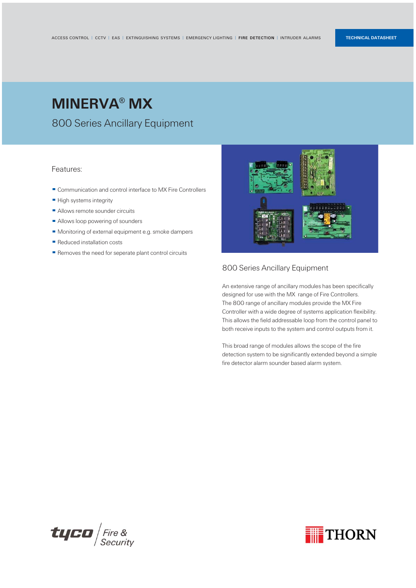#### 800 Series Ancillary Equipment

An extensive range of ancillary modules has been specifically designed for use with the MX range of Fire Controllers. The 800 range of ancillary modules provide the MX Fire Controller with a wide degree of systems application flexibility. This allows the field addressable loop from the control panel to both receive inputs to the system and control outputs from it.

This broad range of modules allows the scope of the fire detection system to be significantly extended beyond a simple fire detector alarm sounder based alarm system.





#### Features:

- Communication and control interface to MX Fire Controllers
- **High systems integrity**
- Allows remote sounder circuits
- Allows loop powering of sounders
- Monitoring of external equipment e.g. smoke dampers
- Reduced installation costs
- $\blacksquare$  Removes the need for seperate plant control circuits



## MINERVA® MX

800 Series Ancillary Equipment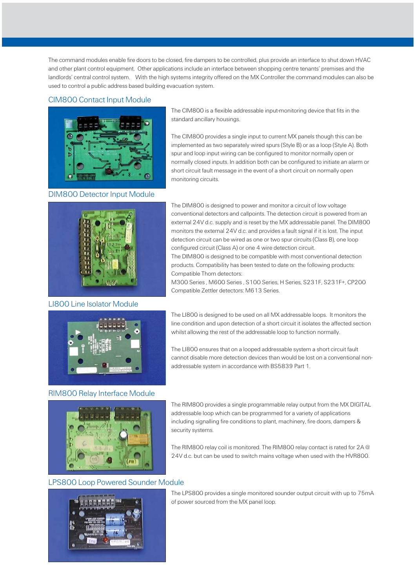The command modules enable fire doors to be closed, fire dampers to be controlled, plus provide an interface to shut down HVAC and other plant control equipment. Other applications include an interface between shopping centre tenants' premises and the landlords' central control system. With the high systems integrity offered on the MX Controller the command modules can also be used to control a public address based building evacuation system.

> The CIM800 is a flexible addressable input-monitoring device that fits in the standard ancillary housings.

The CIM800 provides a single input to current MX panels though this can be implemented as two separately wired spurs (Style B) or as a loop (Style A). Both spur and loop input wiring can be configured to monitor normally open or normally closed inputs. In addition both can be configured to initiate an alarm or short circuit fault message in the event of a short circuit on normally open monitoring circuits.



The DIM800 is designed to power and monitor a circuit of low voltage conventional detectors and callpoints. The detection circuit is powered from an external 24V d.c. supply and is reset by the MX addressable panel. The DIM800 monitors the external 24V d.c. and provides a fault signal if it is lost. The input detection circuit can be wired as one or two spur circuits (Class B), one loop configured circuit (Class A) or one 4 wire detection circuit.

The DIM800 is designed to be compatible with most conventional detection products. Compatibility has been tested to date on the following products: Compatible Thorn detectors:

M300 Series , M600 Series , S100 Series, H Series, S231F, S231F+, CP200 Compatible Zettler detectors: M613 Series.

The LI800 is designed to be used on all MX addressable loops. It monitors the line condition and upon detection of a short circuit it isolates the affected section whilst allowing the rest of the addressable loop to function normally.

The LI800 ensures that on a looped addressable system a short circuit fault cannot disable more detection devices than would be lost on a conventional nonaddressable system in accordance with BS5839 Part 1.

The RIM800 provides a single programmable relay output from the MX DIGITAL addressable loop which can be programmed for a variety of applications including signalling fire conditions to plant, machinery, fire doors, dampers & security systems.

The RIM800 relay coil is monitored. The RIM800 relay contact is rated for 2A @ 24V d.c. but can be used to switch mains voltage when used with the HVR800.

The LPS800 provides a single monitored sounder output circuit with up to 75mA of power sourced from the MX panel loop.

#### CIM800 Contact Input Module



#### DIM800 Detector Input Module

#### LI800 Line Isolator Module



RIM800 Relay Interface Module



#### LPS800 Loop Powered Sounder Module

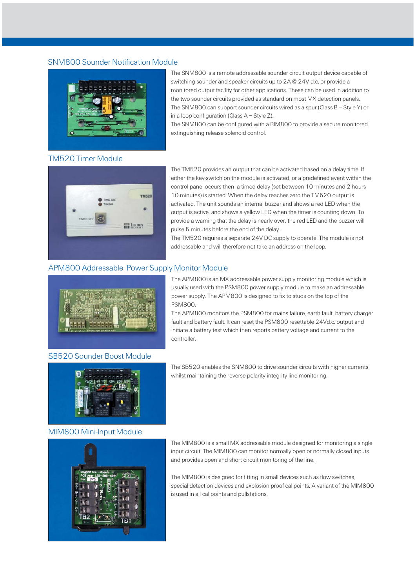The SNM800 can be configured with a RIM800 to provide a secure monitored extinguishing release solenoid control.

The TM520 provides an output that can be activated based on a delay time. If either the key-switch on the module is activated, or a predefined event within the control panel occurs then a timed delay (set between 10 minutes and 2 hours 10 minutes) is started. When the delay reaches zero the TM520 output is activated. The unit sounds an internal buzzer and shows a red LED when the output is active, and shows a yellow LED when the timer is counting down. To provide a warning that the delay is nearly over, the red LED and the buzzer will pulse 5 minutes before the end of the delay .

The TM520 requires a separate 24V DC supply to operate. The module is not addressable and will therefore not take an address on the loop.

The APM800 is an MX addressable power supply monitoring module which is usually used with the PSM800 power supply module to make an addressable power supply. The APM800 is designed to fix to studs on the top of the PSM800.

The APM800 monitors the PSM800 for mains failure, earth fault, battery charger fault and battery fault. It can reset the PSM800 resettable 24Vd.c. output and initiate a battery test which then reports battery voltage and current to the controller.

The SB520 enables the SNM800 to drive sounder circuits with higher currents whilst maintaining the reverse polarity integrity line monitoring.

The MIM800 is a small MX addressable module designed for monitoring a single



input circuit. The MIM800 can monitor normally open or normally closed inputs and provides open and short circuit monitoring of the line.

The MIM800 is designed for fitting in small devices such as flow switches, special detection devices and explosion proof callpoints. A variant of the MIM800 is used in all callpoints and pullstations.

#### SNM800 Sounder Notification Module



The SNM800 is a remote addressable sounder circuit output device capable of switching sounder and speaker circuits up to 2A @ 24V d.c. or provide a monitored output facility for other applications. These can be used in addition to the two sounder circuits provided as standard on most MX detection panels. The SNM800 can support sounder circuits wired as a spur (Class B – Style Y) or in a loop configuration (Class  $A -$  Style Z).

### TM520 Timer Module



#### APM800 Addressable Power Supply Monitor Module



#### SB520 Sounder Boost Module



MIM800 Mini-Input Module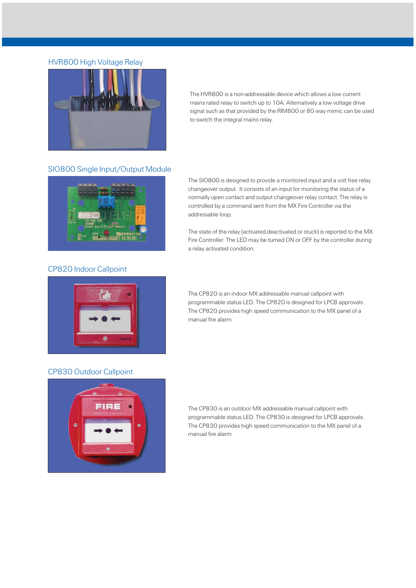The HVR800 is a non-addressable device which allows a low current mains rated relay to switch up to 10A. Alternatively a low voltage drive signal such as that provided by the RIM800 or 80 way mimic can be used to switch the integral mains relay.

The SIO800 is designed to provide a monitored input and a volt free relay changeover output. It consists of an input for monitoring the status of a normally open contact and output changeover relay contact. The relay is controlled by a command sent from the MX Fire Controller via the addressable loop.

The state of the relay (activated,deactivated or stuck) is reported to the MX Fire Controller. The LED may be turned ON or OFF by the controller during a relay activated condition.

The CP820 is an indoor MX addressable manual callpoint with programmable status LED. The CP820 is designed for LPCB approvals . The CP820 provides high speed communication to the MX panel of a manual fire alarm.

The CP830 is an outdoor MX addressable manual callpoint with programmable status LED. The CP830 is designed for LPCB approvals . The CP830 provides high speed communication to the MX panel of a manual fire alarm.

#### HVR800 High Voltage Relay



#### SIO800 Single Input/Output Module



#### CP820 Indoor Callpoint



#### CP830 Outdoor Callpoint

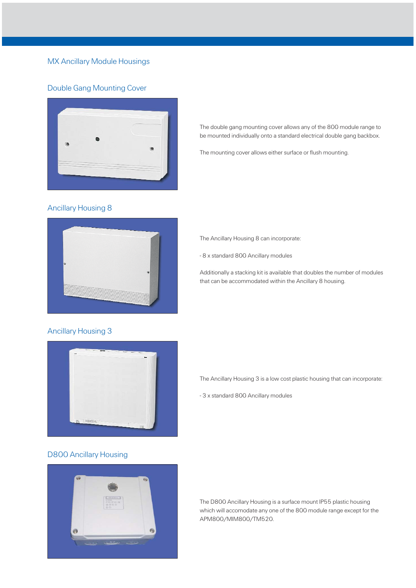The double gang mounting cover allows any of the 800 module range to be mounted individually onto a standard electrical double gang backbox.

The mounting cover allows either surface or flush mounting.



The Ancillary Housing 8 can incorporate:

- 8 x standard 800 Ancillary modules

Additionally a stacking kit is available that doubles the number of modules that can be accommodated within the Ancillary 8 housing.

The Ancillary Housing 3 is a low cost plastic housing that can incorporate:

- 3 x standard 800 Ancillary modules

The D800 Ancillary Housing is a surface mount IP55 plastic housing which will accomodate any one of the 800 module range except for the APM800/MIM800/TM520.

#### Double Gang Mounting Cover



#### Ancillary Housing 8

#### Ancillary Housing 3



#### D800 Ancillary Housing



#### MX Ancillary Module Housings